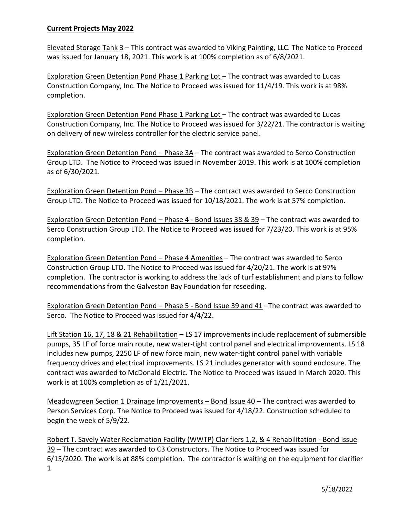## **Current Projects May 2022**

Elevated Storage Tank 3 – This contract was awarded to Viking Painting, LLC. The Notice to Proceed was issued for January 18, 2021. This work is at 100% completion as of 6/8/2021.

Exploration Green Detention Pond Phase 1 Parking Lot – The contract was awarded to Lucas Construction Company, Inc. The Notice to Proceed was issued for 11/4/19. This work is at 98% completion.

Exploration Green Detention Pond Phase 1 Parking Lot - The contract was awarded to Lucas Construction Company, Inc. The Notice to Proceed was issued for 3/22/21. The contractor is waiting on delivery of new wireless controller for the electric service panel.

Exploration Green Detention Pond – Phase 3A – The contract was awarded to Serco Construction Group LTD. The Notice to Proceed was issued in November 2019. This work is at 100% completion as of 6/30/2021.

Exploration Green Detention Pond – Phase 3B – The contract was awarded to Serco Construction Group LTD. The Notice to Proceed was issued for 10/18/2021. The work is at 57% completion.

Exploration Green Detention Pond – Phase 4 - Bond Issues 38 & 39 – The contract was awarded to Serco Construction Group LTD. The Notice to Proceed was issued for 7/23/20. This work is at 95% completion.

Exploration Green Detention Pond – Phase 4 Amenities – The contract was awarded to Serco Construction Group LTD. The Notice to Proceed was issued for 4/20/21. The work is at 97% completion. The contractor is working to address the lack of turf establishment and plans to follow recommendations from the Galveston Bay Foundation for reseeding.

Exploration Green Detention Pond – Phase 5 - Bond Issue 39 and 41 –The contract was awarded to Serco. The Notice to Proceed was issued for 4/4/22.

Lift Station 16, 17, 18 & 21 Rehabilitation – LS 17 improvements include replacement of submersible pumps, 35 LF of force main route, new water-tight control panel and electrical improvements. LS 18 includes new pumps, 2250 LF of new force main, new water-tight control panel with variable frequency drives and electrical improvements. LS 21 includes generator with sound enclosure. The contract was awarded to McDonald Electric. The Notice to Proceed was issued in March 2020. This work is at 100% completion as of 1/21/2021.

Meadowgreen Section 1 Drainage Improvements – Bond Issue 40 – The contract was awarded to Person Services Corp. The Notice to Proceed was issued for 4/18/22. Construction scheduled to begin the week of 5/9/22.

Robert T. Savely Water Reclamation Facility (WWTP) Clarifiers 1,2, & 4 Rehabilitation - Bond Issue 39 – The contract was awarded to C3 Constructors. The Notice to Proceed was issued for 6/15/2020. The work is at 88% completion. The contractor is waiting on the equipment for clarifier 1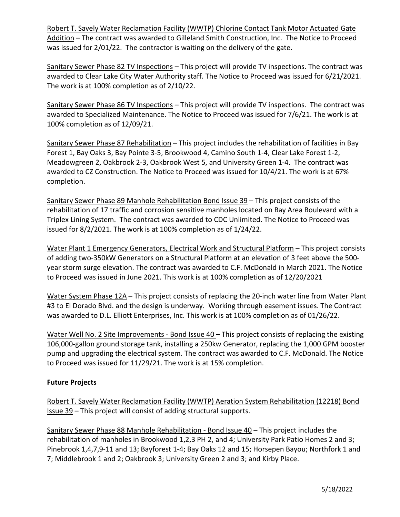Robert T. Savely Water Reclamation Facility (WWTP) Chlorine Contact Tank Motor Actuated Gate Addition - The contract was awarded to Gilleland Smith Construction, Inc. The Notice to Proceed was issued for 2/01/22. The contractor is waiting on the delivery of the gate.

Sanitary Sewer Phase 82 TV Inspections – This project will provide TV inspections. The contract was awarded to Clear Lake City Water Authority staff. The Notice to Proceed was issued for 6/21/2021. The work is at 100% completion as of 2/10/22.

Sanitary Sewer Phase 86 TV Inspections – This project will provide TV inspections. The contract was awarded to Specialized Maintenance. The Notice to Proceed was issued for 7/6/21. The work is at 100% completion as of 12/09/21.

Sanitary Sewer Phase 87 Rehabilitation - This project includes the rehabilitation of facilities in Bay Forest 1, Bay Oaks 3, Bay Pointe 3-5, Brookwood 4, Camino South 1-4, Clear Lake Forest 1-2, Meadowgreen 2, Oakbrook 2-3, Oakbrook West 5, and University Green 1-4. The contract was awarded to CZ Construction. The Notice to Proceed was issued for 10/4/21. The work is at 67% completion.

Sanitary Sewer Phase 89 Manhole Rehabilitation Bond Issue 39 – This project consists of the rehabilitation of 17 traffic and corrosion sensitive manholes located on Bay Area Boulevard with a Triplex Lining System. The contract was awarded to CDC Unlimited. The Notice to Proceed was issued for 8/2/2021. The work is at 100% completion as of 1/24/22.

Water Plant 1 Emergency Generators, Electrical Work and Structural Platform – This project consists of adding two-350kW Generators on a Structural Platform at an elevation of 3 feet above the 500 year storm surge elevation. The contract was awarded to C.F. McDonald in March 2021. The Notice to Proceed was issued in June 2021. This work is at 100% completion as of 12/20/2021

Water System Phase 12A – This project consists of replacing the 20-inch water line from Water Plant #3 to El Dorado Blvd. and the design is underway. Working through easement issues. The Contract was awarded to D.L. Elliott Enterprises, Inc. This work is at 100% completion as of 01/26/22.

Water Well No. 2 Site Improvements - Bond Issue 40 – This project consists of replacing the existing 106,000-gallon ground storage tank, installing a 250kw Generator, replacing the 1,000 GPM booster pump and upgrading the electrical system. The contract was awarded to C.F. McDonald. The Notice to Proceed was issued for 11/29/21. The work is at 15% completion.

## **Future Projects**

Robert T. Savely Water Reclamation Facility (WWTP) Aeration System Rehabilitation (12218) Bond Issue 39 – This project will consist of adding structural supports.

Sanitary Sewer Phase 88 Manhole Rehabilitation - Bond Issue 40 – This project includes the rehabilitation of manholes in Brookwood 1,2,3 PH 2, and 4; University Park Patio Homes 2 and 3; Pinebrook 1,4,7,9-11 and 13; Bayforest 1-4; Bay Oaks 12 and 15; Horsepen Bayou; Northfork 1 and 7; Middlebrook 1 and 2; Oakbrook 3; University Green 2 and 3; and Kirby Place.